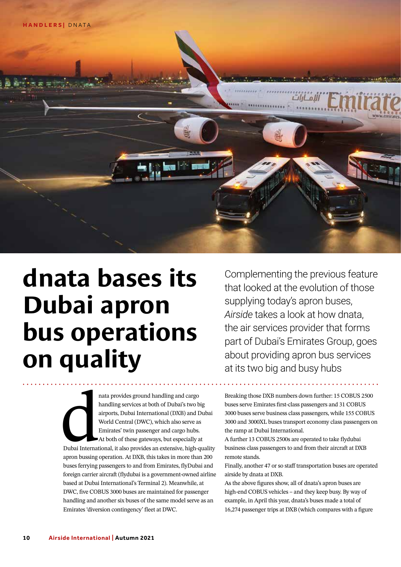

## **dnata bases its Dubai apron bus operations on quality**

Complementing the previous feature that looked at the evolution of those supplying today's apron buses, *Airside* takes a look at how dnata, the air services provider that forms part of Dubai's Emirates Group, goes about providing apron bus services at its two big and busy hubs

l<br>
l<br>
Dubai Internat<br>
apron bussing nata provides ground handling and cargo handling services at both of Dubai's two big airports, Dubai International (DXB) and Dubai World Central (DWC), which also serve as Emirates' twin passenger and cargo hubs. At both of these gateways, but especially at Dubai International, it also provides an extensive, high-quality apron bussing operation. At DXB, this takes in more than 200 buses ferrying passengers to and from Emirates, flyDubai and foreign carrier aircraft (flydubai is a government-owned airline based at Dubai International's Terminal 2). Meanwhile, at DWC, five COBUS 3000 buses are maintained for passenger handling and another six buses of the same model serve as an Emirates 'diversion contingency' fleet at DWC.

Breaking those DXB numbers down further: 15 COBUS 2500 buses serve Emirates first-class passengers and 31 COBUS 3000 buses serve business class passengers, while 155 COBUS 3000 and 3000XL buses transport economy class passengers on the ramp at Dubai International.

A further 13 COBUS 2500s are operated to take flydubai business class passengers to and from their aircraft at DXB remote stands.

Finally, another 47 or so staff transportation buses are operated airside by dnata at DXB.

As the above figures show, all of dnata's apron buses are high-end COBUS vehicles – and they keep busy. By way of example, in April this year, dnata's buses made a total of 16,274 passenger trips at DXB (which compares with a figure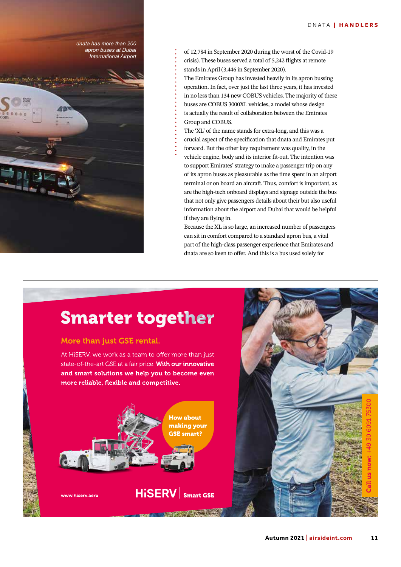*dnata has more than 200 apron buses at Dubai International Airport*

of 12,784 in September 2020 during the worst of the Covid-19 crisis). These buses served a total of 5,242 flights at remote stands in April (3,446 in September 2020). The Emirates Group has invested heavily in its apron bussing operation. In fact, over just the last three years, it has invested

in no less than 134 new COBUS vehicles. The majority of these buses are COBUS 3000XL vehicles, a model whose design is actually the result of collaboration between the Emirates Group and COBUS.

The 'XL' of the name stands for extra-long, and this was a crucial aspect of the specification that dnata and Emirates put forward. But the other key requirement was quality, in the vehicle engine, body and its interior fit-out. The intention was to support Emirates' strategy to make a passenger trip on any of its apron buses as pleasurable as the time spent in an airport terminal or on board an aircraft. Thus, comfort is important, as are the high-tech onboard displays and signage outside the bus that not only give passengers details about their but also useful information about the airport and Dubai that would be helpful if they are flying in.

Because the XL is so large, an increased number of passengers can sit in comfort compared to a standard apron bus, a vital part of the high-class passenger experience that Emirates and dnata are so keen to offer. And this is a bus used solely for

### **Smarter together**

#### More than just GSE rental.

At HiSERV, we work as a team to offer more than just state-of-the-art GSE at a fair price. With our innovative and smart solutions we help you to become even more reliable, flexible and competitive.



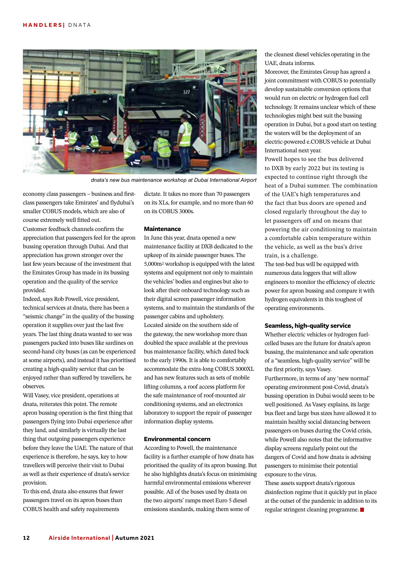

*dnata's new bus maintenance workshop at Dubai International Airport*

economy class passengers – business and firstclass passengers take Emirates' and flydubai's smaller COBUS models, which are also of course extremely well fitted out. Customer feedback channels confirm the appreciation that passengers feel for the apron bussing operation through Dubai. And that appreciation has grown stronger over the last few years because of the investment that the Emirates Group has made in its bussing operation and the quality of the service provided.

Indeed, says Rob Powell, vice president, technical services at dnata, there has been a "seismic change" in the quality of the bussing operation it supplies over just the last five years. The last thing dnata wanted to see was passengers packed into buses like sardines on second-hand city buses (as can be experienced at some airports), and instead it has prioritised creating a high-quality service that can be enjoyed rather than suffered by travellers, he observes.

Will Vasey, vice president, operations at dnata, reiterates this point. The remote apron bussing operation is the first thing that passengers flying into Dubai experience after they land, and similarly is virtually the last thing that outgoing passengers experience before they leave the UAE. The nature of that experience is therefore, he says, key to how travellers will perceive their visit to Dubai as well as their experience of dnata's service provision.

To this end, dnata also ensures that fewer passengers travel on its apron buses than COBUS health and safety requirements

dictate. It takes no more than 70 passengers on its XLs, for example, and no more than 60 on its COBUS 3000s.

#### **Maintenance**

In June this year, dnata opened a new maintenance facility at DXB dedicated to the upkeep of its airside passenger buses. The 5,000m2 workshop is equipped with the latest systems and equipment not only to maintain the vehicles' bodies and engines but also to look after their onboard technology such as their digital screen passenger information systems, and to maintain the standards of the passenger cabins and upholstery. Located airside on the southern side of the gateway, the new workshop more than doubled the space available at the previous bus maintenance facility, which dated back to the early 1990s. It is able to comfortably accommodate the extra-long COBUS 3000XL and has new features such as sets of mobile lifting columns, a roof access platform for the safe maintenance of roof-mounted air conditioning systems, and an electronics laboratory to support the repair of passenger information display systems.

#### **Environmental concern**

According to Powell, the maintenance facility is a further example of how dnata has prioritised the quality of its apron bussing. But he also highlights dnata's focus on minimising harmful environmental emissions wherever possible. All of the buses used by dnata on the two airports' ramps meet Euro 5 diesel emissions standards, making them some of

the cleanest diesel vehicles operating in the UAE, dnata informs.

Moreover, the Emirates Group has agreed a joint commitment with COBUS to potentially develop sustainable conversion options that would run on electric or hydrogen fuel cell technology. It remains unclear which of these technologies might best suit the bussing operation in Dubai, but a good start on testing the waters will be the deployment of an electric-powered e.COBUS vehicle at Dubai International next year.

Powell hopes to see the bus delivered to DXB by early 2022 but its testing is expected to continue right through the heat of a Dubai summer. The combination of the UAE's high temperatures and the fact that bus doors are opened and closed regularly throughout the day to let passengers off and on means that powering the air conditioning to maintain a comfortable cabin temperature within the vehicle, as well as the bus's drive train, is a challenge.

The test-bed bus will be equipped with numerous data loggers that will allow engineers to monitor the efficiency of electric power for apron bussing and compare it with hydrogen equivalents in this toughest of operating environments.

#### **Seamless, high-quality service**

Whether electric vehicles or hydrogen fuelcelled buses are the future for dnata's apron bussing, the maintenance and safe operation of a "seamless, high-quality service" will be the first priority, says Vasey. Furthermore, in terms of any 'new normal' operating environment post-Covid, dnata's bussing operation in Dubai would seem to be well positioned. As Vasey explains, its large bus fleet and large bus sizes have allowed it to maintain healthy social distancing between passengers on buses during the Covid crisis, while Powell also notes that the informative display screens regularly point out the dangers of Covid and how dnata is advising passengers to minimise their potential exposure to the virus.

These assets support dnata's rigorous disinfection regime that it quickly put in place at the outset of the pandemic in addition to its regular stringent cleaning programme.